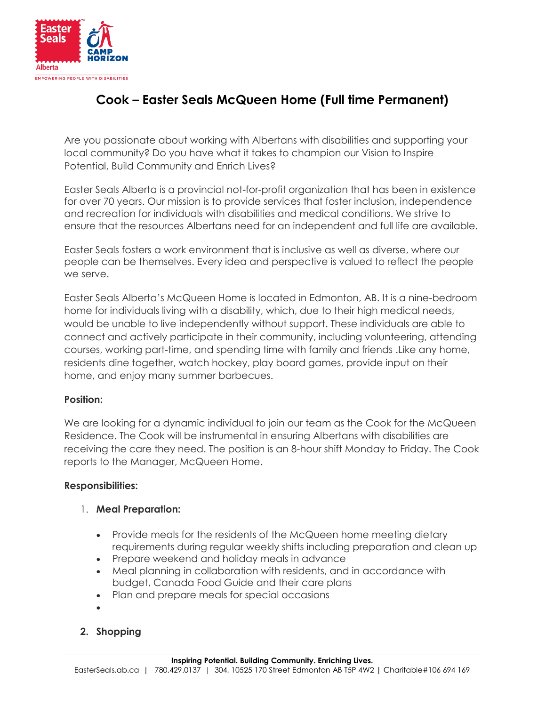

# **Cook – Easter Seals McQueen Home (Full time Permanent)**

Are you passionate about working with Albertans with disabilities and supporting your local community? Do you have what it takes to champion our Vision to Inspire Potential, Build Community and Enrich Lives?

Easter Seals Alberta is a provincial not-for-profit organization that has been in existence for over 70 years. Our mission is to provide services that foster inclusion, independence and recreation for individuals with disabilities and medical conditions. We strive to ensure that the resources Albertans need for an independent and full life are available.

Easter Seals fosters a work environment that is inclusive as well as diverse, where our people can be themselves. Every idea and perspective is valued to reflect the people we serve.

Easter Seals Alberta's McQueen Home is located in Edmonton, AB. It is a nine-bedroom home for individuals living with a disability, which, due to their high medical needs, would be unable to live independently without support. These individuals are able to connect and actively participate in their community, including volunteering, attending courses, working part-time, and spending time with family and friends .Like any home, residents dine together, watch hockey, play board games, provide input on their home, and enjoy many summer barbecues.

## **Position:**

We are looking for a dynamic individual to join our team as the Cook for the McQueen Residence. The Cook will be instrumental in ensuring Albertans with disabilities are receiving the care they need. The position is an 8-hour shift Monday to Friday. The Cook reports to the Manager, McQueen Home.

## **Responsibilities:**

## 1. **Meal Preparation:**

- Provide meals for the residents of the McQueen home meeting dietary requirements during regular weekly shifts including preparation and clean up
- Prepare weekend and holiday meals in advance
- Meal planning in collaboration with residents, and in accordance with budget, Canada Food Guide and their care plans
- Plan and prepare meals for special occasions
- $\bullet$

# **2. Shopping**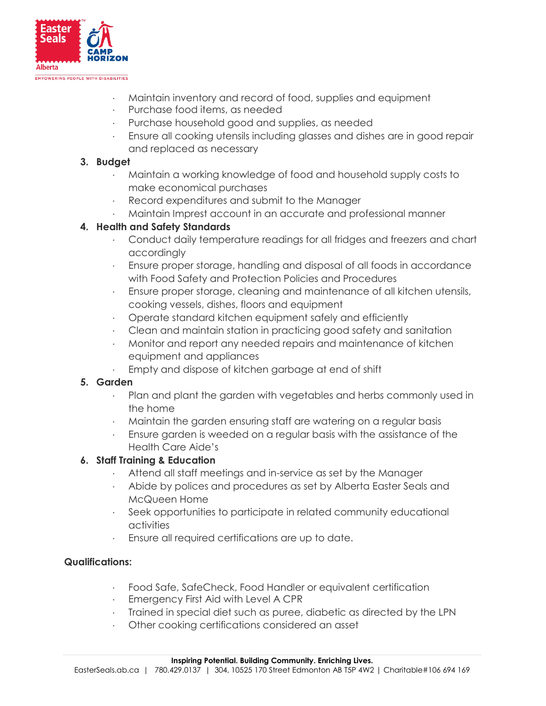

- · Maintain inventory and record of food, supplies and equipment
- · Purchase food items, as needed
- Purchase household good and supplies, as needed
- · Ensure all cooking utensils including glasses and dishes are in good repair and replaced as necessary

## **3. Budget**

- · Maintain a working knowledge of food and household supply costs to make economical purchases
- Record expenditures and submit to the Manager
- · Maintain Imprest account in an accurate and professional manner

# **4. Health and Safety Standards**

- · Conduct daily temperature readings for all fridges and freezers and chart accordingly
- · Ensure proper storage, handling and disposal of all foods in accordance with Food Safety and Protection Policies and Procedures
- · Ensure proper storage, cleaning and maintenance of all kitchen utensils, cooking vessels, dishes, floors and equipment
- · Operate standard kitchen equipment safely and efficiently
- · Clean and maintain station in practicing good safety and sanitation
- · Monitor and report any needed repairs and maintenance of kitchen equipment and appliances
- Empty and dispose of kitchen garbage at end of shift

# **5. Garden**

- · Plan and plant the garden with vegetables and herbs commonly used in the home
- · Maintain the garden ensuring staff are watering on a regular basis
- · Ensure garden is weeded on a regular basis with the assistance of the Health Care Aide's

# **6. Staff Training & Education**

- · Attend all staff meetings and in-service as set by the Manager
- · Abide by polices and procedures as set by Alberta Easter Seals and McQueen Home
- · Seek opportunities to participate in related community educational activities
- Ensure all required certifications are up to date.

## **Qualifications:**

- Food Safe, SafeCheck, Food Handler or equivalent certification
- · Emergency First Aid with Level A CPR
- · Trained in special diet such as puree, diabetic as directed by the LPN
- Other cooking certifications considered an asset